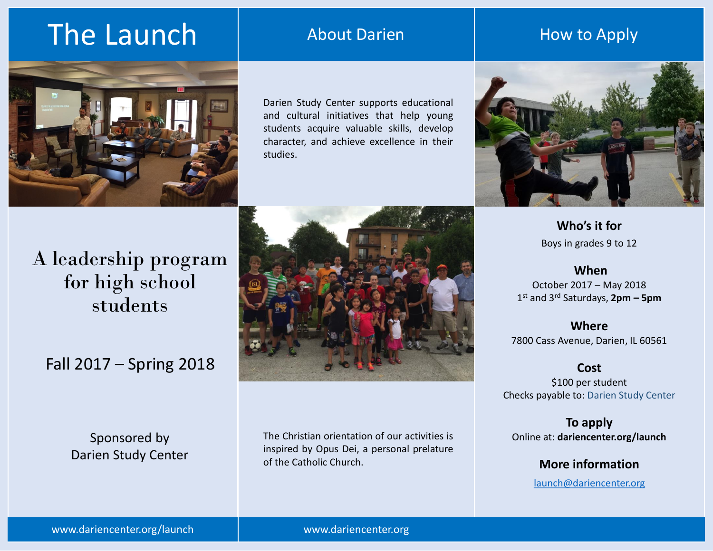# The Launch

### About Darien

### How to Apply



Darien Study Center supports educational and cultural initiatives that help young students acquire valuable skills, develop character, and achieve excellence in their studies.



**Who's it for** Boys in grades 9 to 12

**When**  October 2017 – May 2018 1 st and 3rd Saturdays, **2pm – 5pm**

**Where** 7800 Cass Avenue, Darien, IL 60561

**Cost**

\$100 per student Checks payable to: Darien Study Center

**To apply** Online at: **dariencenter.org/launch**

> **More information** [launch@dariencenter.org](mailto:launch@dariencenter.org)

## A leadership program for high school students

## Fall 2017 – Spring 2018

Sponsored by Darien Study Center



The Christian orientation of our activities is inspired by Opus Dei, a personal prelature of the Catholic Church.

www.dariencenter.org/launch

www.dariencenter.org